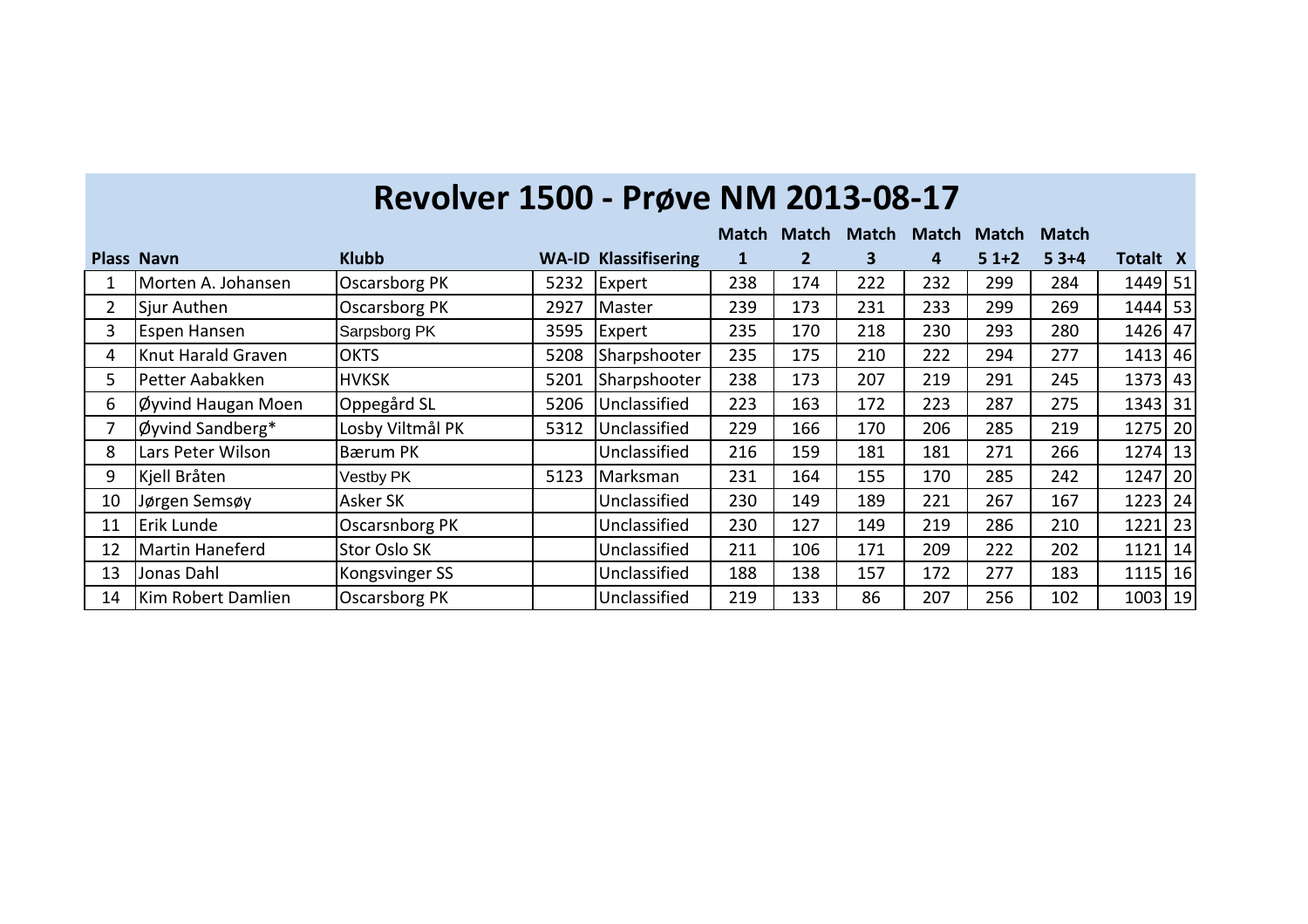|                |                    |                       |      |                             | <b>Match</b> | <b>Match</b> | <b>Match</b> | <b>Match</b> | <b>Match</b> | <b>Match</b> |          |  |
|----------------|--------------------|-----------------------|------|-----------------------------|--------------|--------------|--------------|--------------|--------------|--------------|----------|--|
|                | <b>Plass Navn</b>  | <b>Klubb</b>          |      | <b>WA-ID Klassifisering</b> | ı            | 2            | 3            | 4            | $51+2$       | $53+4$       | Totalt X |  |
|                | Morten A. Johansen | <b>Oscarsborg PK</b>  | 5232 | Expert                      | 238          | 174          | 222          | 232          | 299          | 284          | 1449 51  |  |
| $\overline{2}$ | Sjur Authen        | <b>Oscarsborg PK</b>  | 2927 | Master                      | 239          | 173          | 231          | 233          | 299          | 269          | 1444 53  |  |
| 3              | Espen Hansen       | Sarpsborg PK          | 3595 | Expert                      | 235          | 170          | 218          | 230          | 293          | 280          | 1426 47  |  |
| 4              | Knut Harald Graven | <b>OKTS</b>           | 5208 | Sharpshooter                | 235          | 175          | 210          | 222          | 294          | 277          | 1413 46  |  |
| 5              | Petter Aabakken    | <b>HVKSK</b>          | 5201 | Sharpshooter                | 238          | 173          | 207          | 219          | 291          | 245          | 1373 43  |  |
| 6              | Øyvind Haugan Moen | Oppegård SL           | 5206 | Unclassified                | 223          | 163          | 172          | 223          | 287          | 275          | 1343 31  |  |
|                | Øyvind Sandberg*   | Losby Viltmål PK      | 5312 | Unclassified                | 229          | 166          | 170          | 206          | 285          | 219          | 1275 20  |  |
| 8              | Lars Peter Wilson  | Bærum PK              |      | Unclassified                | 216          | 159          | 181          | 181          | 271          | 266          | 1274 13  |  |
| 9              | Kjell Bråten       | <b>Vestby PK</b>      | 5123 | Marksman                    | 231          | 164          | 155          | 170          | 285          | 242          | 1247 20  |  |
| 10             | Jørgen Semsøy      | <b>Asker SK</b>       |      | Unclassified                | 230          | 149          | 189          | 221          | 267          | 167          | 1223 24  |  |
| 11             | Erik Lunde         | <b>Oscarsnborg PK</b> |      | Unclassified                | 230          | 127          | 149          | 219          | 286          | 210          | 1221 23  |  |
| 12             | Martin Haneferd    | <b>Stor Oslo SK</b>   |      | Unclassified                | 211          | 106          | 171          | 209          | 222          | 202          | 1121 14  |  |
| 13             | Jonas Dahl         | Kongsvinger SS        |      | Unclassified                | 188          | 138          | 157          | 172          | 277          | 183          | 1115 16  |  |
| 14             | Kim Robert Damlien | <b>Oscarsborg PK</b>  |      | Unclassified                | 219          | 133          | 86           | 207          | 256          | 102          | 1003 19  |  |

## **Revolver 1500 - Prøve NM 2013-08-17**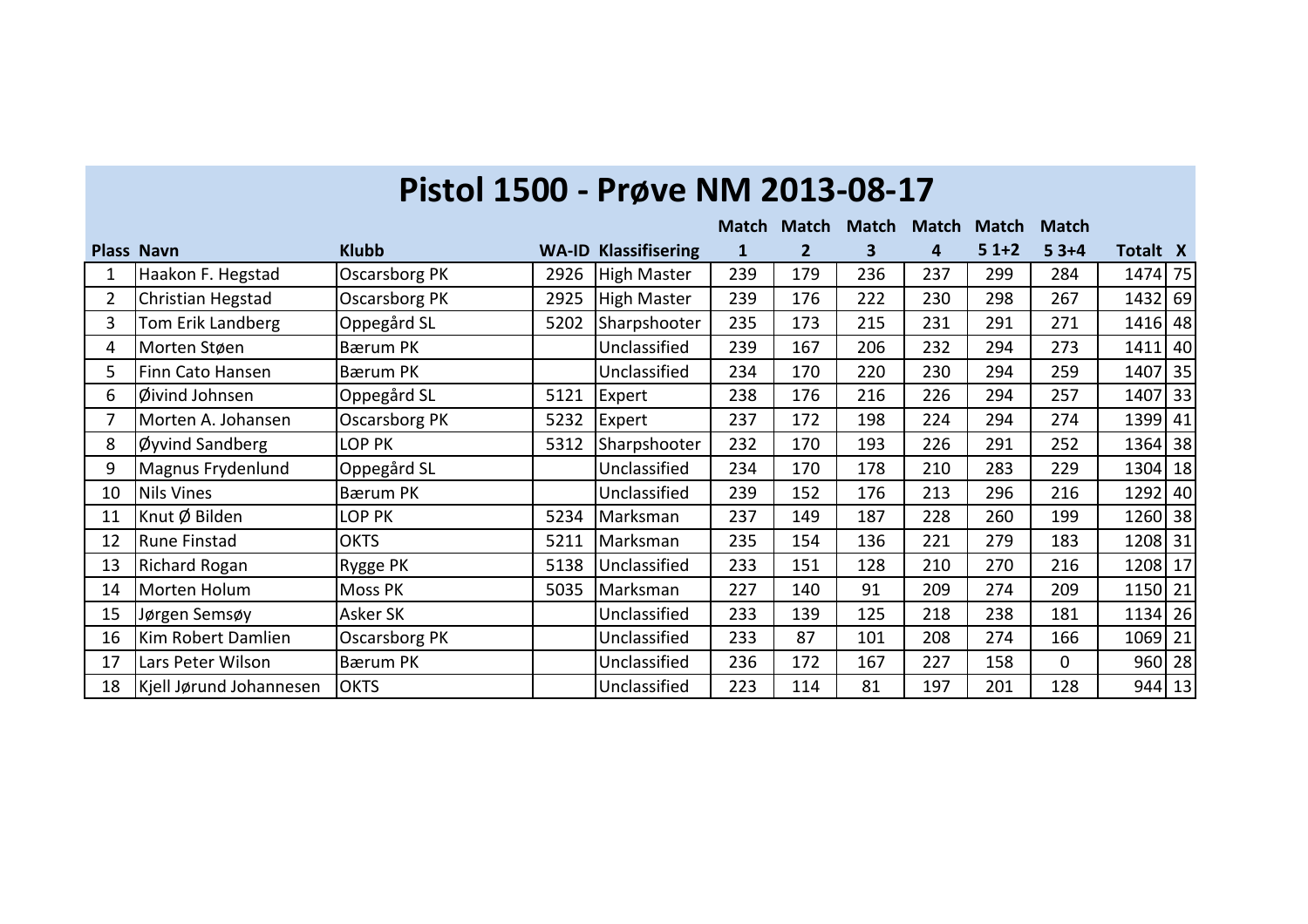|                |                         |                      |      |                             | <b>Match</b> | <b>Match</b>   | <b>Match</b> | <b>Match</b> | <b>Match</b> | <b>Match</b> |          |  |
|----------------|-------------------------|----------------------|------|-----------------------------|--------------|----------------|--------------|--------------|--------------|--------------|----------|--|
|                | <b>Plass Navn</b>       | <b>Klubb</b>         |      | <b>WA-ID Klassifisering</b> | 1            | $\overline{2}$ | 3            | 4            | $51+2$       | $53+4$       | Totalt X |  |
|                | Haakon F. Hegstad       | Oscarsborg PK        | 2926 | <b>High Master</b>          | 239          | 179            | 236          | 237          | 299          | 284          | 1474 75  |  |
| $\overline{2}$ | Christian Hegstad       | <b>Oscarsborg PK</b> | 2925 | <b>High Master</b>          | 239          | 176            | 222          | 230          | 298          | 267          | 1432 69  |  |
| $\overline{3}$ | Tom Erik Landberg       | Oppegård SL          | 5202 | Sharpshooter                | 235          | 173            | 215          | 231          | 291          | 271          | 1416 48  |  |
| 4              | Morten Støen            | <b>Bærum PK</b>      |      | Unclassified                | 239          | 167            | 206          | 232          | 294          | 273          | 1411 40  |  |
| 5              | Finn Cato Hansen        | Bærum PK             |      | Unclassified                | 234          | 170            | 220          | 230          | 294          | 259          | 1407 35  |  |
| 6              | Øivind Johnsen          | Oppegård SL          | 5121 | Expert                      | 238          | 176            | 216          | 226          | 294          | 257          | 1407 33  |  |
|                | Morten A. Johansen      | <b>Oscarsborg PK</b> | 5232 | Expert                      | 237          | 172            | 198          | 224          | 294          | 274          | 1399 41  |  |
| 8              | Øyvind Sandberg         | LOP PK               | 5312 | Sharpshooter                | 232          | 170            | 193          | 226          | 291          | 252          | 1364 38  |  |
| 9              | Magnus Frydenlund       | Oppegård SL          |      | Unclassified                | 234          | 170            | 178          | 210          | 283          | 229          | 1304 18  |  |
| 10             | <b>Nils Vines</b>       | Bærum PK             |      | Unclassified                | 239          | 152            | 176          | 213          | 296          | 216          | 1292 40  |  |
| 11             | Knut Ø Bilden           | LOP PK               | 5234 | Marksman                    | 237          | 149            | 187          | 228          | 260          | 199          | 1260 38  |  |
| 12             | <b>Rune Finstad</b>     | <b>OKTS</b>          | 5211 | Marksman                    | 235          | 154            | 136          | 221          | 279          | 183          | 1208 31  |  |
| 13             | <b>Richard Rogan</b>    | Rygge PK             | 5138 | Unclassified                | 233          | 151            | 128          | 210          | 270          | 216          | 1208 17  |  |
| 14             | Morten Holum            | Moss PK              | 5035 | Marksman                    | 227          | 140            | 91           | 209          | 274          | 209          | 1150 21  |  |
| 15             | Jørgen Semsøy           | Asker SK             |      | Unclassified                | 233          | 139            | 125          | 218          | 238          | 181          | 1134 26  |  |
| 16             | Kim Robert Damlien      | Oscarsborg PK        |      | Unclassified                | 233          | 87             | 101          | 208          | 274          | 166          | 1069 21  |  |
| 17             | Lars Peter Wilson       | Bærum PK             |      | Unclassified                | 236          | 172            | 167          | 227          | 158          | $\Omega$     | $960$ 28 |  |
| 18             | Kjell Jørund Johannesen | <b>OKTS</b>          |      | Unclassified                | 223          | 114            | 81           | 197          | 201          | 128          | 944 13   |  |

## **Pistol 1500 - Prøve NM 2013-08-17**